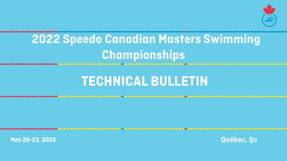# **TECHNICAL BULLETIN**

**May 20-22, 2022**



# **2022 Speedo Canadian Masters Swimming Championships**

**Québec, Qc**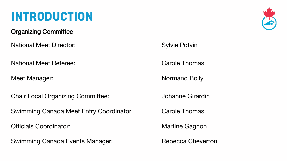# **INTRODUCTION**

#### Organizing Committee

National Meet Director: Sylvie Potvin

National Meet Referee: Carole Thomas

Meet Manager: Normand Boily

Chair Local Organizing Committee: Johanne Girardin

Swimming Canada Meet Entry Coordinator Carole Thomas

Officials Coordinator: Martine Gagnon

Swimming Canada Events Manager: Rebecca Cheverton

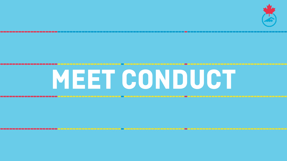**MEET CONDUCT**

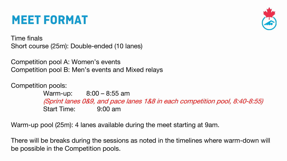### **MEET FORMAT**

Time finals Short course (25m): Double-ended (10 lanes)

Competition pool A: Women's events Competition pool B: Men's events and Mixed relays

Competition pools:

Warm-up: 8:00 – 8:55 am (Sprint lanes 0&9, and pace lanes 1&8 in each competition pool, 8:40-8:55) Start Time: 9:00 am

Warm-up pool (25m): 4 lanes available during the meet starting at 9am.

There will be breaks during the sessions as noted in the timelines where warm-down will be possible in the Competition pools.

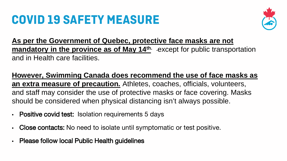# **COVID 19 SAFETY MEASURE**

**As per the Government of Quebec, protective face masks are not mandatory in the province as of May 14<sup>th</sup>** -except for public transportation and in Health care facilities.

#### **However, Swimming Canada does recommend the use of face masks as**

- Positive covid test: Isolation requirements 5 days
- Close contacts: No need to isolate until symptomatic or test positive.
- Please follow local Public Health guidelines





**an extra measure of precaution.** Athletes, coaches, officials, volunteers, and staff may consider the use of protective masks or face covering. Masks should be considered when physical distancing isn't always possible.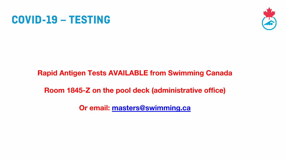### **COVID-19 – TESTING**

### Rapid Antigen Tests AVAILABLE from Swimming Canada

### Room 1845-Z on the pool deck (administrative office)

Or email: masters@swimming.ca

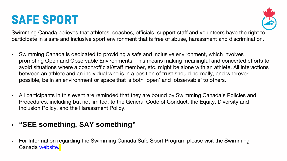**SAFE SPORT** Swimming Canada believes that athletes, coaches, officials, support staff and volunteers have the right to participate in a safe and inclusive sport environment that is free of abuse, harassment and discrimination.

promoting Open and Observable Environments. This means making meaningful and concerted efforts to avoid situations where a coach/official/staff member, etc. might be alone with an athlete. All interactions

All participants in this event are reminded that they are bound by Swimming Canada's Policies and



• For Information regarding the Swimming Canada Safe Sport Program please visit the Swimming Canada website.

- Swimming Canada is dedicated to providing a safe and inclusive environment, which involves between an athlete and an individual who is in a position of trust should normally, and wherever possible, be in an environment or space that is both 'open' and 'observable' to others.
- Procedures, including but not limited, to the General Code of Conduct, the Equity, Diversity and Inclusion Policy, and the Harassment Policy.

#### • **"SEE something, SAY something"**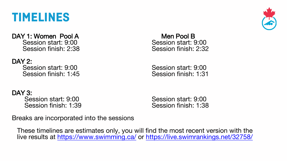### **TIMELINES**

DAY 1: Women Pool A Men Pool B Session start: 9:00 Session start: 9:00 Session finish: 2:38 Session finish: 2:32

DAY 3: Session start: 9:00 Session start: 9:00 Session finish: 1:39 Session finish: 1:38

DAY 2: Session start: 9:00 Session start: 9:00 Session finish: 1:45 Session finish: 1:31

These timelines are estimates only, you will find the most recent version with the live results at https://www.swimming.ca/ or https://live.swimrankings.net/32758/



Breaks are incorporated into the sessions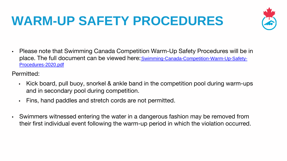# **WARM-UP SAFETY PROCEDURES**

- Please note that Swimming Canada Competition Warm-Up Safety Procedures will be in place. The full document can be viewed here: Swimming-Canada-Competition-Warm-Up-Safety-Procedures-2020.pdf
- Permitted:
	- and in secondary pool during competition.
	- Fins, hand paddles and stretch cords are not permitted.
- Swimmers witnessed entering the water in a dangerous fashion may be removed from



Kick board, pull buoy, snorkel & ankle band in the competition pool during warm-ups

their first individual event following the warm-up period in which the violation occurred.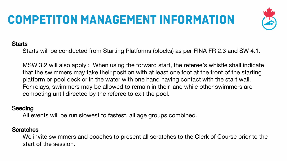# **COMPETITON MANAGEMENT INFORMATION**

#### **Starts**

Starts will be conducted from Starting Platforms (blocks) as per FINA FR 2.3 and SW 4.1.

MSW 3.2 will also apply : When using the forward start, the referee's whistle shall indicate that the swimmers may take their position with at least one foot at the front of the starting platform or pool deck or in the water with one hand having contact with the start wall. For relays, swimmers may be allowed to remain in their lane while other swimmers are competing until directed by the referee to exit the pool.

#### **Seeding**

All events will be run slowest to fastest, all age groups combined.

#### **Scratches**

We invite swimmers and coaches to present all scratches to the Clerk of Course prior to the start of the session.

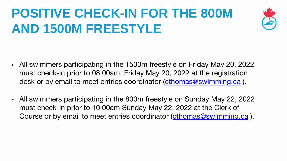# **POSITIVE CHECK-IN FOR THE 800M AND 1500M FREESTYLE**

- All swimmers participating in the 1500m freestyle on Friday May 20, 2022 must check-in prior to 08:00am, Friday May 20, 2022 at the registration desk or by email to meet entries coordinator (cthomas@swimming.ca).
- All swimmers participating in the 800m freestyle on Sunday May 22, 2022 must check-in prior to 10:00am Sunday May 22, 2022 at the Clerk of



Course or by email to meet entries coordinator (cthomas@swimming.ca).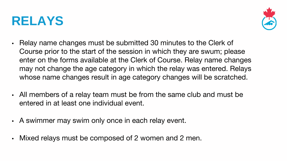## **RELAYS**

enter on the forms available at the Clerk of Course. Relay name changes may not change the age category in which the relay was entered. Relays

- Relay name changes must be submitted 30 minutes to the Clerk of Course prior to the start of the session in which they are swum; please whose name changes result in age category changes will be scratched.
- All members of a relay team must be from the same club and must be entered in at least one individual event.
- A swimmer may swim only once in each relay event.
- Mixed relays must be composed of 2 women and 2 men.

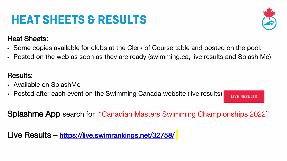# **HEAT SHEETS & RESULTS**

• Some copies available for clubs at the Clerk of Course table and posted on the pool. • Posted on the web as soon as they are ready (swimming.ca, live results and Splash Me)

**LIVE RESULTS** 





#### Heat Sheets:

- 
- 

- Available on SplashMe
- Posted after each event on the Swimming Canada website (live results)

#### Results:

Splashme App search for "Canadian Masters Swimming Championships 2022"

Live Results – https://live.swimrankings.net/32758/



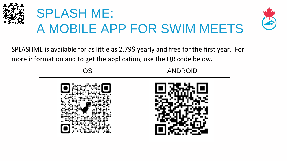

# SPLASH ME: A MOBILE APP FOR SWIM MEETS

SPLASHME is available for as little as 2.79\$ yearly and free for the first year. For more information and to get the application, use the QR code below.





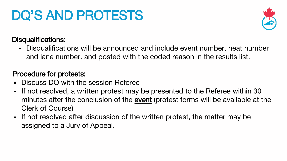# DQ'S AND PROTESTS

#### Disqualifications:

 Disqualifications will be announced and include event number, heat number and lane number. and posted with the coded reason in the results list.

#### Procedure for protests:

If not resolved, a written protest may be presented to the Referee within 30 minutes after the conclusion of the event (protest forms will be available at the

- Discuss DQ with the session Referee
- Clerk of Course)
- If not resolved after discussion of the written protest, the matter may be assigned to a Jury of Appeal.



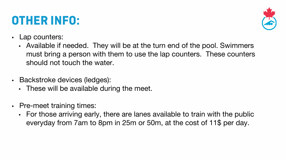### **OTHER INFO:**

• Available if needed. They will be at the turn end of the pool. Swimmers must bring a person with them to use the lap counters. These counters

- Lap counters:
	- should not touch the water.
- Backstroke devices (ledges):
	- These will be available during the meet.
- Pre-meet training times:
	-



• For those arriving early, there are lanes available to train with the public everyday from 7am to 8pm in 25m or 50m, at the cost of 11\$ per day.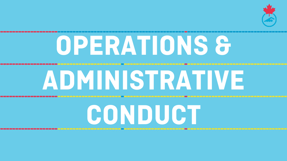# **OPERATIONS &**



# **ADMINISTRATIVE**



**CONDUCT**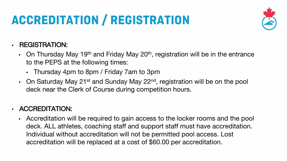# **ACCREDITATION / REGISTRATION**

#### • REGISTRATION:

- On Thursday May 19<sup>th</sup> and Friday May 20<sup>th</sup>, registration will be in the entrance to the PEPS at the following times:
	- Thursday 4pm to 8pm / Friday 7am to 3pm
- On Saturday May 21<sup>st</sup> and Sunday May 22<sup>nd</sup>, registration will be on the pool deck near the Clerk of Course during competition hours.

#### • ACCREDITATION:

• Accreditation will be required to gain access to the locker rooms and the pool deck. ALL athletes, coaching staff and support staff must have accreditation. Individual without accreditation will not be permitted pool access. Lost accreditation will be replaced at a cost of \$60.00 per accreditation.



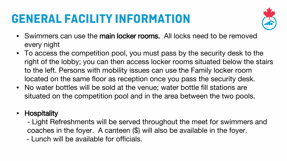# **GENERAL FACILITY INFORMATION**

• Swimmers can use the main locker rooms. All locks need to be removed

• To access the competition pool, you must pass by the security desk to the right of the lobby; you can then access locker rooms situated below the stairs to the left. Persons with mobility issues can use the Family locker room located on the same floor as reception once you pass the security desk. situated on the competition pool and in the area between the two pools.

- every night
- 
- No water bottles will be sold at the venue; water bottle fill stations are
- Hospitality
	-
	- Lunch will be available for officials.



- Light Refreshments will be served throughout the meet for swimmers and coaches in the foyer. A canteen (\$) will also be available in the foyer.

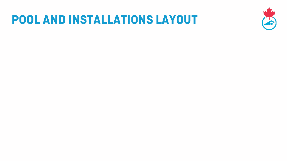### **POOL AND INSTALLATIONS LAYOUT**

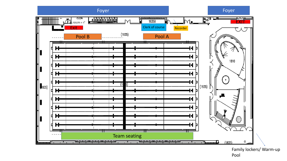#### Foyer Foyer



Family lockers/ Warm-up Pool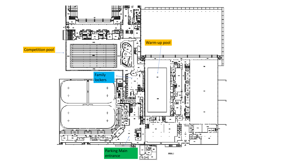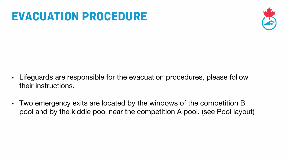### **EVACUATION PROCEDURE**

- Lifeguards are responsible for the evacuation procedures, please follow their instructions.
- Two emergency exits are located by the windows of the competition B pool and by the kiddie pool near the competition A pool. (see Pool layout)



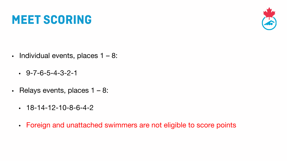### **MEET SCORING**

- $\cdot$  Individual events, places  $1 8$ :
	- $-9 7 6 5 4 3 2 1$
- Relays events, places 1 8:
	- $-18-14-12-10-8-6-4-2$
	- Foreign and unattached swimmers are not eligible to score points

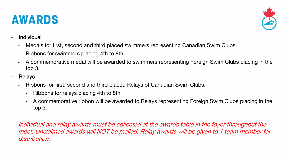### **AWARDS**

- **Individual** 
	- Medals for first, second and third placed swimmers representing Canadian Swim Clubs.
	- Ribbons for swimmers placing 4th to 8th.
	- A commemorative medal will be awarded to swimmers representing Foreign Swim Clubs placing in the top 3.
- **Relays** 
	- Ribbons for first, second and third placed Relays of Canadian Swim Clubs.
		- Ribbons for relays placing 4th to 8th.
		- A commemorative ribbon will be awarded to Relays representing Foreign Swim Clubs placing in the top 3.

Individual and relay awards must be collected at the awards table in the foyer throughout the meet. Unclaimed awards will NOT be mailed. Relay awards will be given to 1 team member for



















distribution.

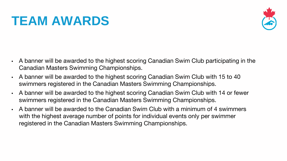# **TEAM AWARDS**

- A banner will be awarded to the highest scoring Canadian Swim Club participating in the Canadian Masters Swimming Championships.
- A banner will be awarded to the highest scoring Canadian Swim Club with 15 to 40 swimmers registered in the Canadian Masters Swimming Championships.
- A banner will be awarded to the highest scoring Canadian Swim Club with 14 or fewer swimmers registered in the Canadian Masters Swimming Championships.
- A banner will be awarded to the Canadian Swim Club with a minimum of 4 swimmers with the highest average number of points for individual events only per swimmer registered in the Canadian Masters Swimming Championships.

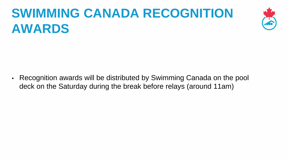# **SWIMMING CANADA RECOGNITION AWARDS**

• Recognition awards will be distributed by Swimming Canada on the pool deck on the Saturday during the break before relays (around 11am)



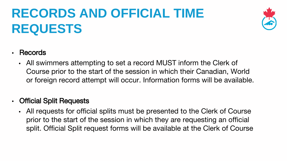# **RECORDS AND OFFICIAL TIME REQUESTS**

#### • Records

- All swimmers attempting to set a record MUST inform the Clerk of
- Official Split Requests
	-





### Course prior to the start of the session in which their Canadian, World or foreign record attempt will occur. Information forms will be available.

• All requests for official splits must be presented to the Clerk of Course prior to the start of the session in which they are requesting an official split. Official Split request forms will be available at the Clerk of Course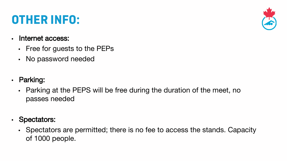# **OTHER INFO:**

- Internet access:
	- Free for guests to the PEPs
	- No password needed
- Parking:
	- Parking at the PEPS will be free during the duration of the meet, no passes needed
- Spectators:
	- of 1000 people.



#### • Spectators are permitted; there is no fee to access the stands. Capacity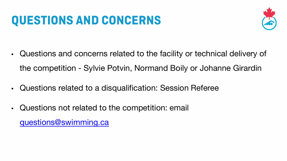# **QUESTIONS AND CONCERNS**

- Questions and concerns related to the facility or technical delivery of the competition - Sylvie Potvin, Normand Boily or Johanne Girardin
- Questions related to a disqualification: Session Referee
- Questions not related to the competition: email questions@swimming.ca



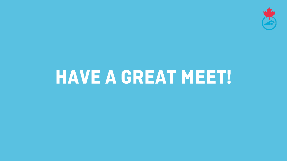